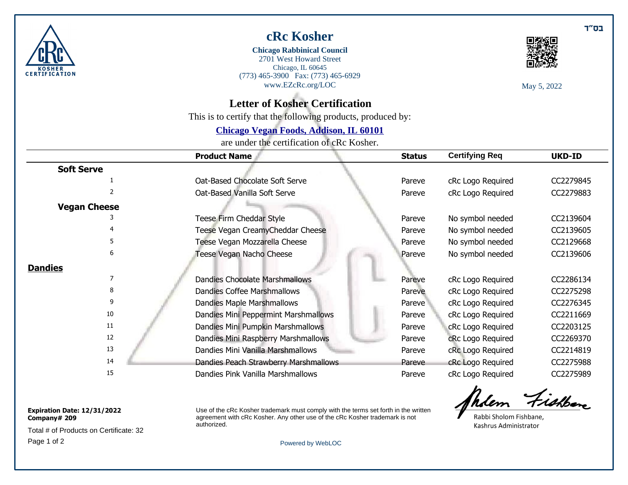

## **cRc Kosher**

(773) 465-3900 Fax: (773) 465-6929 [www.EZcRc.org/LOC](https://www.ezcrc.org/LOC) Chicago, IL 60645 2701 West Howard Street **Chicago Rabbinical Council**



May 5, 2022

## **Letter of Kosher Certification**

This is to certify that the following products, produced by:

### **[Chicago Vegan Foods, Addison, IL 60101](http://www.welovesoy.com/)**

are under the certification of cRc Kosher.

|                     | <b>Product Name</b>                   | <b>Status</b> | <b>Certifying Req</b> | <b>UKD-ID</b> |
|---------------------|---------------------------------------|---------------|-----------------------|---------------|
| <b>Soft Serve</b>   |                                       |               |                       |               |
|                     | Oat-Based Chocolate Soft Serve        | Pareve        | cRc Logo Required     | CC2279845     |
|                     | Oat-Based Vanilla Soft Serve          | Pareve        | cRc Logo Required     | CC2279883     |
| <b>Vegan Cheese</b> |                                       |               |                       |               |
|                     | Teese Firm Cheddar Style              | Pareve        | No symbol needed      | CC2139604     |
|                     | Teese Vegan CreamyCheddar Cheese      | Pareve        | No symbol needed      | CC2139605     |
| 5                   | Teese Vegan Mozzarella Cheese         | Pareve        | No symbol needed      | CC2129668     |
| 6                   | Teese Vegan Nacho Cheese              | Pareve        | No symbol needed      | CC2139606     |
| <b>Dandies</b>      |                                       |               |                       |               |
|                     | <b>Dandies Chocolate Marshmallows</b> | Pareve        | cRc Logo Required     | CC2286134     |
| 8                   | <b>Dandies Coffee Marshmallows</b>    | Pareve        | cRc Logo Required     | CC2275298     |
| 9                   | Dandies Maple Marshmallows            | Pareve        | cRc Logo Required     | CC2276345     |
| 10                  | Dandies Mini Peppermint Marshmallows  | Pareve        | cRc Logo Required     | CC2211669     |
| 11                  | Dandies Mini Pumpkin Marshmallows     | Pareve        | cRc Logo Required     | CC2203125     |
| 12                  | Dandies Mini Raspberry Marshmallows   | Pareve        | cRc Logo Required     | CC2269370     |
| 13                  | Dandies Mini Vanilla Marshmallows     | Pareve        | cRc Logo Required     | CC2214819     |
| 14                  | Dandies Peach Strawberry Marshmallows | Pareve        | cRc Logo Required     | CC2275988     |
| 15                  | Dandies Pink Vanilla Marshmallows     | Pareve        | cRc Logo Required     | CC2275989     |

#### **Expiration Date: 12/31/2022 Company# 209**

Page 1 of 2 [Powered by WebLOC](https://ezcrc.org/loc) Total # of Products on Certificate: 32

Use of the cRc Kosher trademark must comply with the terms set forth in the written agreement with cRc Kosher. Any other use of the cRc Kosher trademark is not authorized.

hdem Fishen

Rabbi Sholom Fishbane. Kashrus Administrator

בס״ד